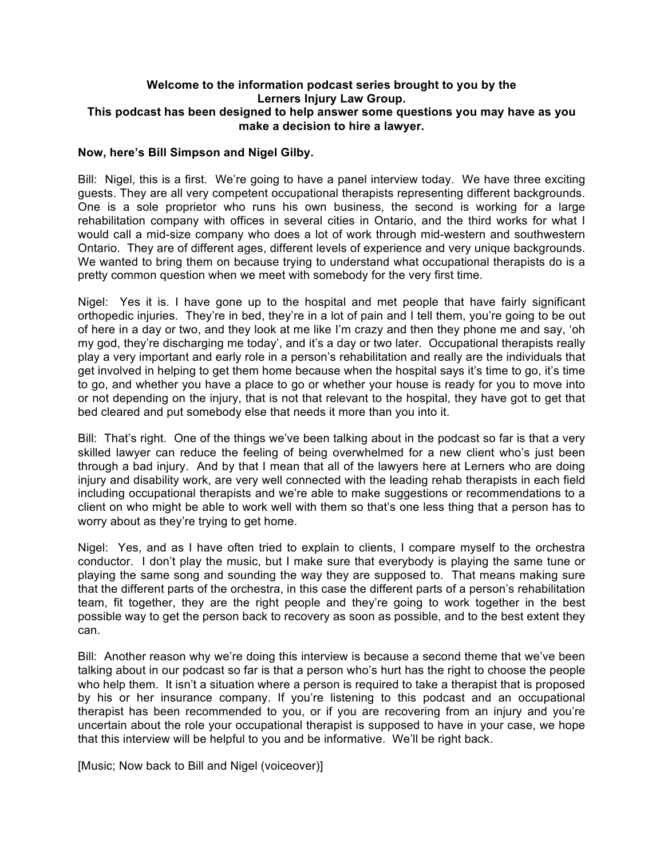## **Welcome to the information podcast series brought to you by the Lerners Injury Law Group. This podcast has been designed to help answer some questions you may have as you make a decision to hire a lawyer.**

## **Now, here's Bill Simpson and Nigel Gilby.**

Bill: Nigel, this is a first. We're going to have a panel interview today. We have three exciting guests. They are all very competent occupational therapists representing different backgrounds. One is a sole proprietor who runs his own business, the second is working for a large rehabilitation company with offices in several cities in Ontario, and the third works for what I would call a mid-size company who does a lot of work through mid-western and southwestern Ontario. They are of different ages, different levels of experience and very unique backgrounds. We wanted to bring them on because trying to understand what occupational therapists do is a pretty common question when we meet with somebody for the very first time.

Nigel: Yes it is. I have gone up to the hospital and met people that have fairly significant orthopedic injuries. They're in bed, they're in a lot of pain and I tell them, you're going to be out of here in a day or two, and they look at me like I'm crazy and then they phone me and say, 'oh my god, they're discharging me today', and it's a day or two later. Occupational therapists really play a very important and early role in a person's rehabilitation and really are the individuals that get involved in helping to get them home because when the hospital says it's time to go, it's time to go, and whether you have a place to go or whether your house is ready for you to move into or not depending on the injury, that is not that relevant to the hospital, they have got to get that bed cleared and put somebody else that needs it more than you into it.

Bill: That's right. One of the things we've been talking about in the podcast so far is that a very skilled lawyer can reduce the feeling of being overwhelmed for a new client who's just been through a bad injury. And by that I mean that all of the lawyers here at Lerners who are doing injury and disability work, are very well connected with the leading rehab therapists in each field including occupational therapists and we're able to make suggestions or recommendations to a client on who might be able to work well with them so that's one less thing that a person has to worry about as they're trying to get home.

Nigel: Yes, and as I have often tried to explain to clients, I compare myself to the orchestra conductor. I don't play the music, but I make sure that everybody is playing the same tune or playing the same song and sounding the way they are supposed to. That means making sure that the different parts of the orchestra, in this case the different parts of a person's rehabilitation team, fit together, they are the right people and they're going to work together in the best possible way to get the person back to recovery as soon as possible, and to the best extent they can.

Bill: Another reason why we're doing this interview is because a second theme that we've been talking about in our podcast so far is that a person who's hurt has the right to choose the people who help them. It isn't a situation where a person is required to take a therapist that is proposed by his or her insurance company. If you're listening to this podcast and an occupational therapist has been recommended to you, or if you are recovering from an injury and you're uncertain about the role your occupational therapist is supposed to have in your case, we hope that this interview will be helpful to you and be informative. We'll be right back.

[Music: Now back to Bill and Nigel (voiceover)]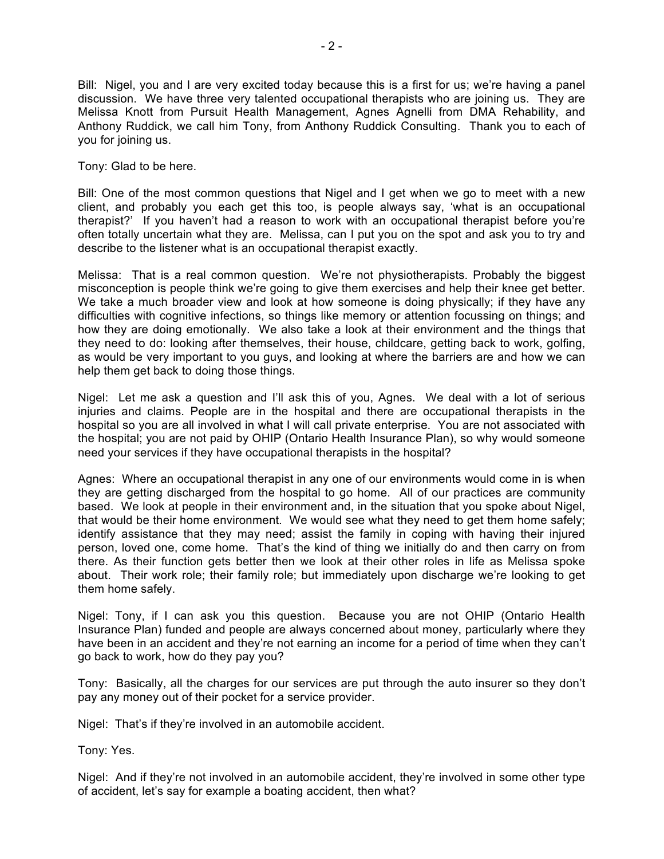Bill: Nigel, you and I are very excited today because this is a first for us; we're having a panel discussion. We have three very talented occupational therapists who are joining us. They are Melissa Knott from Pursuit Health Management, Agnes Agnelli from DMA Rehability, and Anthony Ruddick, we call him Tony, from Anthony Ruddick Consulting. Thank you to each of you for joining us.

Tony: Glad to be here.

Bill: One of the most common questions that Nigel and I get when we go to meet with a new client, and probably you each get this too, is people always say, 'what is an occupational therapist?' If you haven't had a reason to work with an occupational therapist before you're often totally uncertain what they are. Melissa, can I put you on the spot and ask you to try and describe to the listener what is an occupational therapist exactly.

Melissa: That is a real common question. We're not physiotherapists. Probably the biggest misconception is people think we're going to give them exercises and help their knee get better. We take a much broader view and look at how someone is doing physically; if they have any difficulties with cognitive infections, so things like memory or attention focussing on things; and how they are doing emotionally. We also take a look at their environment and the things that they need to do: looking after themselves, their house, childcare, getting back to work, golfing, as would be very important to you guys, and looking at where the barriers are and how we can help them get back to doing those things.

Nigel: Let me ask a question and I'll ask this of you, Agnes. We deal with a lot of serious injuries and claims. People are in the hospital and there are occupational therapists in the hospital so you are all involved in what I will call private enterprise. You are not associated with the hospital; you are not paid by OHIP (Ontario Health Insurance Plan), so why would someone need your services if they have occupational therapists in the hospital?

Agnes: Where an occupational therapist in any one of our environments would come in is when they are getting discharged from the hospital to go home. All of our practices are community based. We look at people in their environment and, in the situation that you spoke about Nigel, that would be their home environment. We would see what they need to get them home safely; identify assistance that they may need; assist the family in coping with having their injured person, loved one, come home. That's the kind of thing we initially do and then carry on from there. As their function gets better then we look at their other roles in life as Melissa spoke about. Their work role; their family role; but immediately upon discharge we're looking to get them home safely.

Nigel: Tony, if I can ask you this question. Because you are not OHIP (Ontario Health Insurance Plan) funded and people are always concerned about money, particularly where they have been in an accident and they're not earning an income for a period of time when they can't go back to work, how do they pay you?

Tony: Basically, all the charges for our services are put through the auto insurer so they don't pay any money out of their pocket for a service provider.

Nigel: That's if they're involved in an automobile accident.

Tony: Yes.

Nigel: And if they're not involved in an automobile accident, they're involved in some other type of accident, let's say for example a boating accident, then what?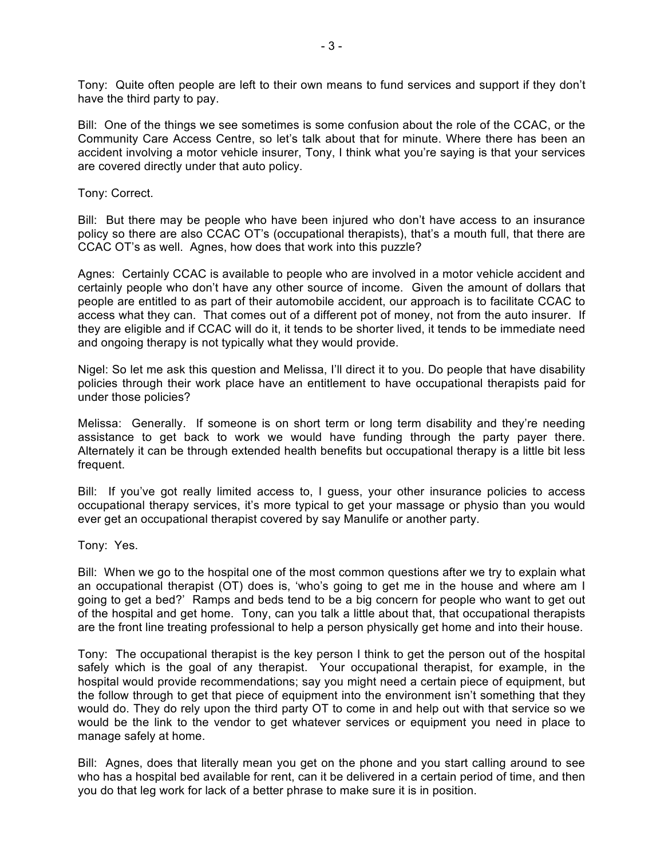Tony: Quite often people are left to their own means to fund services and support if they don't have the third party to pay.

Bill: One of the things we see sometimes is some confusion about the role of the CCAC, or the Community Care Access Centre, so let's talk about that for minute. Where there has been an accident involving a motor vehicle insurer, Tony, I think what you're saying is that your services are covered directly under that auto policy.

Tony: Correct.

Bill: But there may be people who have been injured who don't have access to an insurance policy so there are also CCAC OT's (occupational therapists), that's a mouth full, that there are CCAC OT's as well. Agnes, how does that work into this puzzle?

Agnes: Certainly CCAC is available to people who are involved in a motor vehicle accident and certainly people who don't have any other source of income. Given the amount of dollars that people are entitled to as part of their automobile accident, our approach is to facilitate CCAC to access what they can. That comes out of a different pot of money, not from the auto insurer. If they are eligible and if CCAC will do it, it tends to be shorter lived, it tends to be immediate need and ongoing therapy is not typically what they would provide.

Nigel: So let me ask this question and Melissa, I'll direct it to you. Do people that have disability policies through their work place have an entitlement to have occupational therapists paid for under those policies?

Melissa: Generally. If someone is on short term or long term disability and they're needing assistance to get back to work we would have funding through the party payer there. Alternately it can be through extended health benefits but occupational therapy is a little bit less frequent.

Bill: If you've got really limited access to, I guess, your other insurance policies to access occupational therapy services, it's more typical to get your massage or physio than you would ever get an occupational therapist covered by say Manulife or another party.

Tony: Yes.

Bill: When we go to the hospital one of the most common questions after we try to explain what an occupational therapist (OT) does is, 'who's going to get me in the house and where am I going to get a bed?' Ramps and beds tend to be a big concern for people who want to get out of the hospital and get home. Tony, can you talk a little about that, that occupational therapists are the front line treating professional to help a person physically get home and into their house.

Tony: The occupational therapist is the key person I think to get the person out of the hospital safely which is the goal of any therapist. Your occupational therapist, for example, in the hospital would provide recommendations; say you might need a certain piece of equipment, but the follow through to get that piece of equipment into the environment isn't something that they would do. They do rely upon the third party OT to come in and help out with that service so we would be the link to the vendor to get whatever services or equipment you need in place to manage safely at home.

Bill: Agnes, does that literally mean you get on the phone and you start calling around to see who has a hospital bed available for rent, can it be delivered in a certain period of time, and then you do that leg work for lack of a better phrase to make sure it is in position.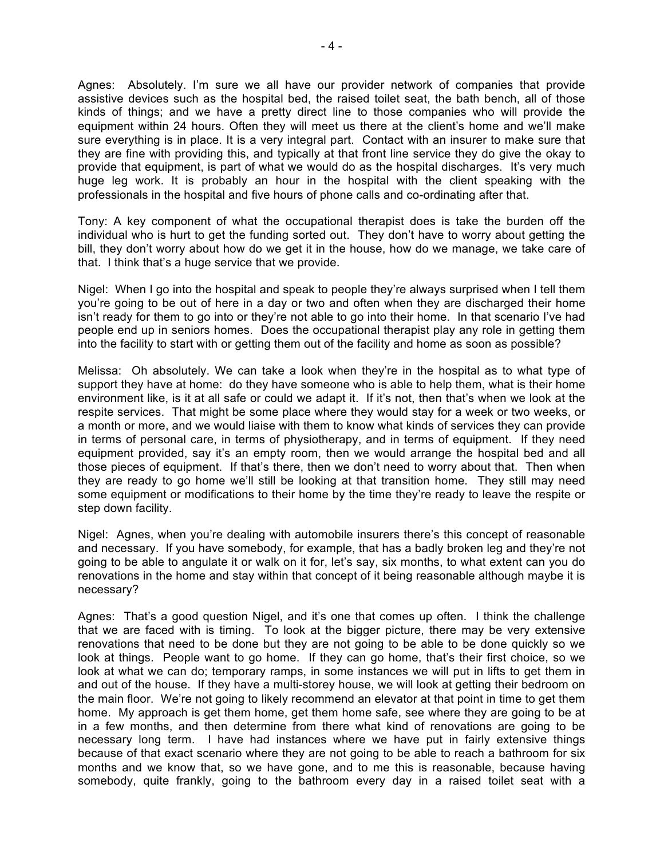Agnes: Absolutely. I'm sure we all have our provider network of companies that provide assistive devices such as the hospital bed, the raised toilet seat, the bath bench, all of those kinds of things; and we have a pretty direct line to those companies who will provide the equipment within 24 hours. Often they will meet us there at the client's home and we'll make sure everything is in place. It is a very integral part. Contact with an insurer to make sure that they are fine with providing this, and typically at that front line service they do give the okay to provide that equipment, is part of what we would do as the hospital discharges. It's very much huge leg work. It is probably an hour in the hospital with the client speaking with the professionals in the hospital and five hours of phone calls and co-ordinating after that.

Tony: A key component of what the occupational therapist does is take the burden off the individual who is hurt to get the funding sorted out. They don't have to worry about getting the bill, they don't worry about how do we get it in the house, how do we manage, we take care of that. I think that's a huge service that we provide.

Nigel: When I go into the hospital and speak to people they're always surprised when I tell them you're going to be out of here in a day or two and often when they are discharged their home isn't ready for them to go into or they're not able to go into their home. In that scenario I've had people end up in seniors homes. Does the occupational therapist play any role in getting them into the facility to start with or getting them out of the facility and home as soon as possible?

Melissa: Oh absolutely. We can take a look when they're in the hospital as to what type of support they have at home: do they have someone who is able to help them, what is their home environment like, is it at all safe or could we adapt it. If it's not, then that's when we look at the respite services. That might be some place where they would stay for a week or two weeks, or a month or more, and we would liaise with them to know what kinds of services they can provide in terms of personal care, in terms of physiotherapy, and in terms of equipment. If they need equipment provided, say it's an empty room, then we would arrange the hospital bed and all those pieces of equipment. If that's there, then we don't need to worry about that. Then when they are ready to go home we'll still be looking at that transition home. They still may need some equipment or modifications to their home by the time they're ready to leave the respite or step down facility.

Nigel: Agnes, when you're dealing with automobile insurers there's this concept of reasonable and necessary. If you have somebody, for example, that has a badly broken leg and they're not going to be able to angulate it or walk on it for, let's say, six months, to what extent can you do renovations in the home and stay within that concept of it being reasonable although maybe it is necessary?

Agnes: That's a good question Nigel, and it's one that comes up often. I think the challenge that we are faced with is timing. To look at the bigger picture, there may be very extensive renovations that need to be done but they are not going to be able to be done quickly so we look at things. People want to go home. If they can go home, that's their first choice, so we look at what we can do; temporary ramps, in some instances we will put in lifts to get them in and out of the house. If they have a multi-storey house, we will look at getting their bedroom on the main floor. We're not going to likely recommend an elevator at that point in time to get them home. My approach is get them home, get them home safe, see where they are going to be at in a few months, and then determine from there what kind of renovations are going to be necessary long term. I have had instances where we have put in fairly extensive things because of that exact scenario where they are not going to be able to reach a bathroom for six months and we know that, so we have gone, and to me this is reasonable, because having somebody, quite frankly, going to the bathroom every day in a raised toilet seat with a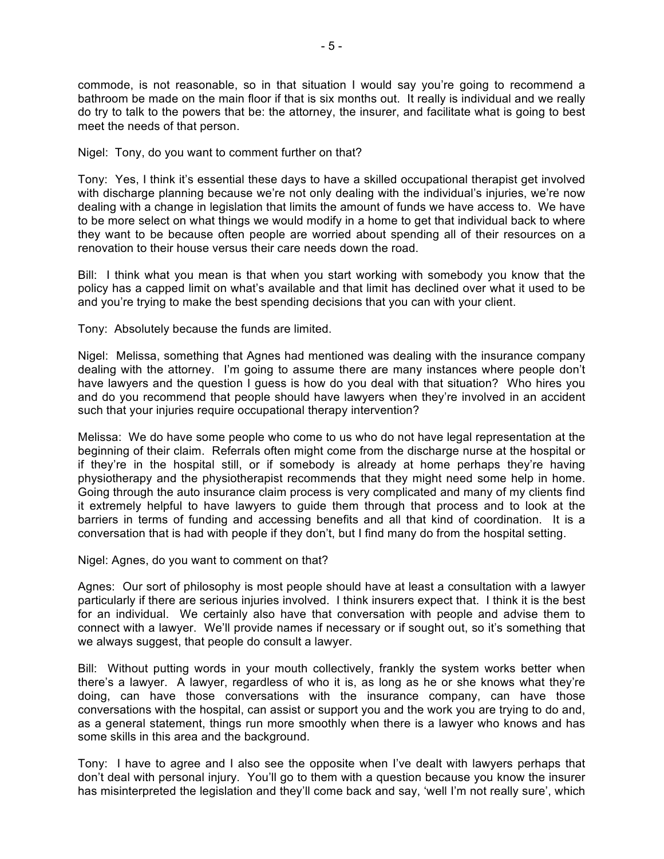commode, is not reasonable, so in that situation I would say you're going to recommend a bathroom be made on the main floor if that is six months out. It really is individual and we really do try to talk to the powers that be: the attorney, the insurer, and facilitate what is going to best meet the needs of that person.

Nigel: Tony, do you want to comment further on that?

Tony: Yes, I think it's essential these days to have a skilled occupational therapist get involved with discharge planning because we're not only dealing with the individual's injuries, we're now dealing with a change in legislation that limits the amount of funds we have access to. We have to be more select on what things we would modify in a home to get that individual back to where they want to be because often people are worried about spending all of their resources on a renovation to their house versus their care needs down the road.

Bill: I think what you mean is that when you start working with somebody you know that the policy has a capped limit on what's available and that limit has declined over what it used to be and you're trying to make the best spending decisions that you can with your client.

Tony: Absolutely because the funds are limited.

Nigel: Melissa, something that Agnes had mentioned was dealing with the insurance company dealing with the attorney. I'm going to assume there are many instances where people don't have lawyers and the question I quess is how do you deal with that situation? Who hires you and do you recommend that people should have lawyers when they're involved in an accident such that your injuries require occupational therapy intervention?

Melissa: We do have some people who come to us who do not have legal representation at the beginning of their claim. Referrals often might come from the discharge nurse at the hospital or if they're in the hospital still, or if somebody is already at home perhaps they're having physiotherapy and the physiotherapist recommends that they might need some help in home. Going through the auto insurance claim process is very complicated and many of my clients find it extremely helpful to have lawyers to guide them through that process and to look at the barriers in terms of funding and accessing benefits and all that kind of coordination. It is a conversation that is had with people if they don't, but I find many do from the hospital setting.

Nigel: Agnes, do you want to comment on that?

Agnes: Our sort of philosophy is most people should have at least a consultation with a lawyer particularly if there are serious injuries involved. I think insurers expect that. I think it is the best for an individual. We certainly also have that conversation with people and advise them to connect with a lawyer. We'll provide names if necessary or if sought out, so it's something that we always suggest, that people do consult a lawyer.

Bill: Without putting words in your mouth collectively, frankly the system works better when there's a lawyer. A lawyer, regardless of who it is, as long as he or she knows what they're doing, can have those conversations with the insurance company, can have those conversations with the hospital, can assist or support you and the work you are trying to do and, as a general statement, things run more smoothly when there is a lawyer who knows and has some skills in this area and the background.

Tony: I have to agree and I also see the opposite when I've dealt with lawyers perhaps that don't deal with personal injury. You'll go to them with a question because you know the insurer has misinterpreted the legislation and they'll come back and say, 'well I'm not really sure', which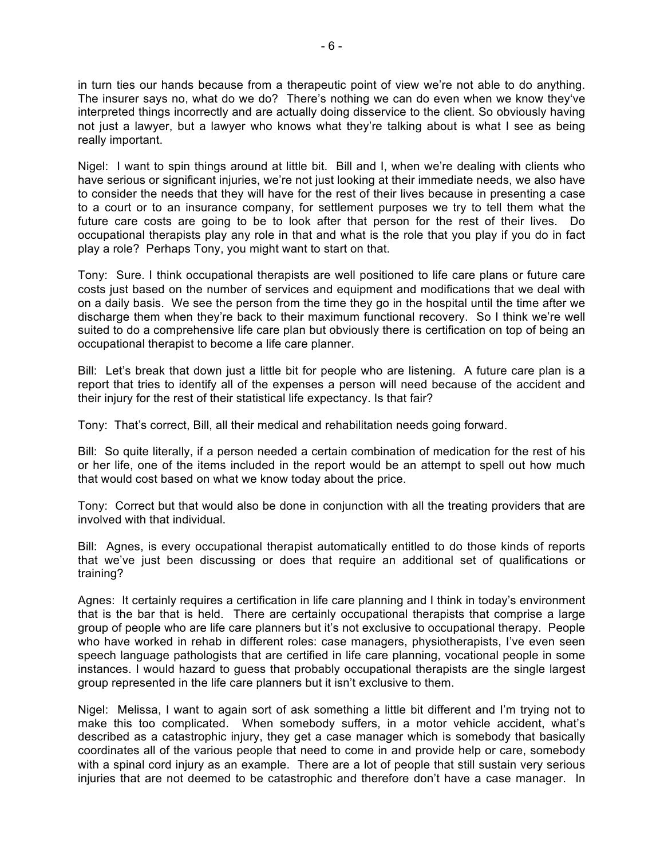in turn ties our hands because from a therapeutic point of view we're not able to do anything. The insurer says no, what do we do? There's nothing we can do even when we know they've interpreted things incorrectly and are actually doing disservice to the client. So obviously having not just a lawyer, but a lawyer who knows what they're talking about is what I see as being really important.

Nigel: I want to spin things around at little bit. Bill and I, when we're dealing with clients who have serious or significant injuries, we're not just looking at their immediate needs, we also have to consider the needs that they will have for the rest of their lives because in presenting a case to a court or to an insurance company, for settlement purposes we try to tell them what the future care costs are going to be to look after that person for the rest of their lives. Do occupational therapists play any role in that and what is the role that you play if you do in fact play a role? Perhaps Tony, you might want to start on that.

Tony: Sure. I think occupational therapists are well positioned to life care plans or future care costs just based on the number of services and equipment and modifications that we deal with on a daily basis. We see the person from the time they go in the hospital until the time after we discharge them when they're back to their maximum functional recovery. So I think we're well suited to do a comprehensive life care plan but obviously there is certification on top of being an occupational therapist to become a life care planner.

Bill: Let's break that down just a little bit for people who are listening. A future care plan is a report that tries to identify all of the expenses a person will need because of the accident and their injury for the rest of their statistical life expectancy. Is that fair?

Tony: That's correct, Bill, all their medical and rehabilitation needs going forward.

Bill: So quite literally, if a person needed a certain combination of medication for the rest of his or her life, one of the items included in the report would be an attempt to spell out how much that would cost based on what we know today about the price.

Tony: Correct but that would also be done in conjunction with all the treating providers that are involved with that individual.

Bill: Agnes, is every occupational therapist automatically entitled to do those kinds of reports that we've just been discussing or does that require an additional set of qualifications or training?

Agnes: It certainly requires a certification in life care planning and I think in today's environment that is the bar that is held. There are certainly occupational therapists that comprise a large group of people who are life care planners but it's not exclusive to occupational therapy. People who have worked in rehab in different roles: case managers, physiotherapists, I've even seen speech language pathologists that are certified in life care planning, vocational people in some instances. I would hazard to guess that probably occupational therapists are the single largest group represented in the life care planners but it isn't exclusive to them.

Nigel: Melissa, I want to again sort of ask something a little bit different and I'm trying not to make this too complicated. When somebody suffers, in a motor vehicle accident, what's described as a catastrophic injury, they get a case manager which is somebody that basically coordinates all of the various people that need to come in and provide help or care, somebody with a spinal cord injury as an example. There are a lot of people that still sustain very serious injuries that are not deemed to be catastrophic and therefore don't have a case manager. In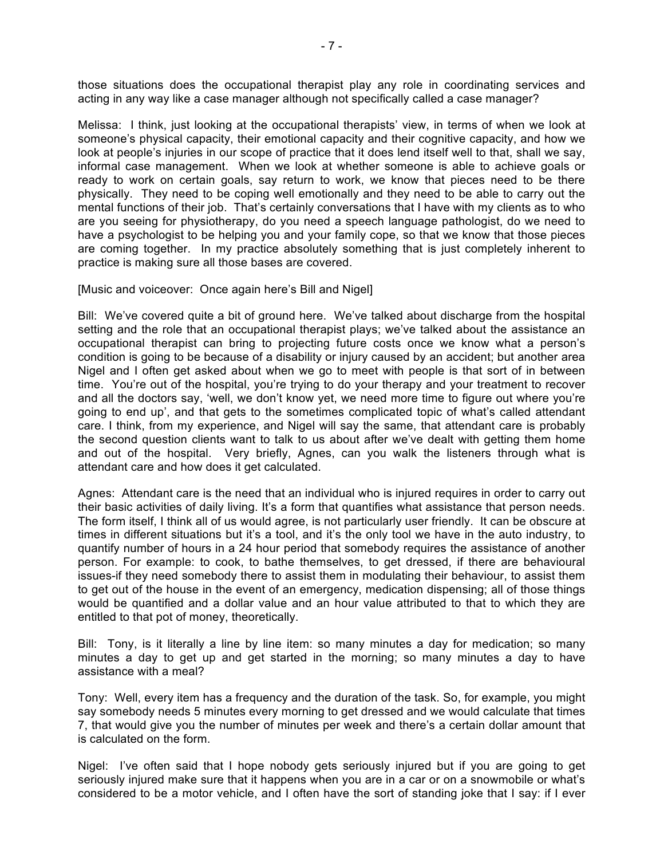those situations does the occupational therapist play any role in coordinating services and acting in any way like a case manager although not specifically called a case manager?

Melissa: I think, just looking at the occupational therapists' view, in terms of when we look at someone's physical capacity, their emotional capacity and their cognitive capacity, and how we look at people's injuries in our scope of practice that it does lend itself well to that, shall we say, informal case management. When we look at whether someone is able to achieve goals or ready to work on certain goals, say return to work, we know that pieces need to be there physically. They need to be coping well emotionally and they need to be able to carry out the mental functions of their job. That's certainly conversations that I have with my clients as to who are you seeing for physiotherapy, do you need a speech language pathologist, do we need to have a psychologist to be helping you and your family cope, so that we know that those pieces are coming together. In my practice absolutely something that is just completely inherent to practice is making sure all those bases are covered.

[Music and voiceover: Once again here's Bill and Nigel]

Bill: We've covered quite a bit of ground here. We've talked about discharge from the hospital setting and the role that an occupational therapist plays; we've talked about the assistance an occupational therapist can bring to projecting future costs once we know what a person's condition is going to be because of a disability or injury caused by an accident; but another area Nigel and I often get asked about when we go to meet with people is that sort of in between time. You're out of the hospital, you're trying to do your therapy and your treatment to recover and all the doctors say, 'well, we don't know yet, we need more time to figure out where you're going to end up', and that gets to the sometimes complicated topic of what's called attendant care. I think, from my experience, and Nigel will say the same, that attendant care is probably the second question clients want to talk to us about after we've dealt with getting them home and out of the hospital. Very briefly, Agnes, can you walk the listeners through what is attendant care and how does it get calculated.

Agnes: Attendant care is the need that an individual who is injured requires in order to carry out their basic activities of daily living. It's a form that quantifies what assistance that person needs. The form itself, I think all of us would agree, is not particularly user friendly. It can be obscure at times in different situations but it's a tool, and it's the only tool we have in the auto industry, to quantify number of hours in a 24 hour period that somebody requires the assistance of another person. For example: to cook, to bathe themselves, to get dressed, if there are behavioural issues-if they need somebody there to assist them in modulating their behaviour, to assist them to get out of the house in the event of an emergency, medication dispensing; all of those things would be quantified and a dollar value and an hour value attributed to that to which they are entitled to that pot of money, theoretically.

Bill: Tony, is it literally a line by line item: so many minutes a day for medication; so many minutes a day to get up and get started in the morning; so many minutes a day to have assistance with a meal?

Tony: Well, every item has a frequency and the duration of the task. So, for example, you might say somebody needs 5 minutes every morning to get dressed and we would calculate that times 7, that would give you the number of minutes per week and there's a certain dollar amount that is calculated on the form.

Nigel: I've often said that I hope nobody gets seriously injured but if you are going to get seriously injured make sure that it happens when you are in a car or on a snowmobile or what's considered to be a motor vehicle, and I often have the sort of standing joke that I say: if I ever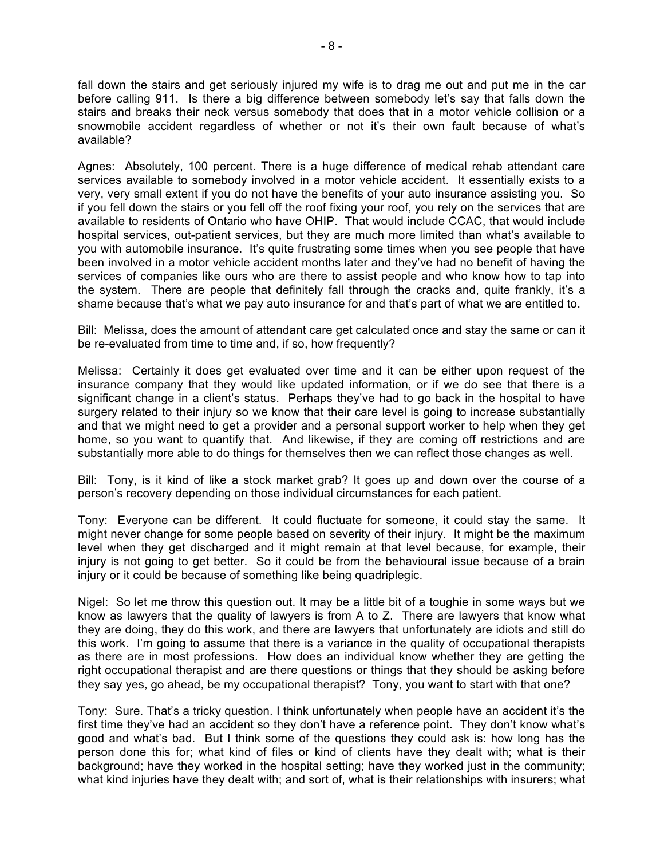fall down the stairs and get seriously injured my wife is to drag me out and put me in the car before calling 911. Is there a big difference between somebody let's say that falls down the stairs and breaks their neck versus somebody that does that in a motor vehicle collision or a snowmobile accident regardless of whether or not it's their own fault because of what's available?

Agnes: Absolutely, 100 percent. There is a huge difference of medical rehab attendant care services available to somebody involved in a motor vehicle accident. It essentially exists to a very, very small extent if you do not have the benefits of your auto insurance assisting you. So if you fell down the stairs or you fell off the roof fixing your roof, you rely on the services that are available to residents of Ontario who have OHIP. That would include CCAC, that would include hospital services, out-patient services, but they are much more limited than what's available to you with automobile insurance. It's quite frustrating some times when you see people that have been involved in a motor vehicle accident months later and they've had no benefit of having the services of companies like ours who are there to assist people and who know how to tap into the system. There are people that definitely fall through the cracks and, quite frankly, it's a shame because that's what we pay auto insurance for and that's part of what we are entitled to.

Bill: Melissa, does the amount of attendant care get calculated once and stay the same or can it be re-evaluated from time to time and, if so, how frequently?

Melissa: Certainly it does get evaluated over time and it can be either upon request of the insurance company that they would like updated information, or if we do see that there is a significant change in a client's status. Perhaps they've had to go back in the hospital to have surgery related to their injury so we know that their care level is going to increase substantially and that we might need to get a provider and a personal support worker to help when they get home, so you want to quantify that. And likewise, if they are coming off restrictions and are substantially more able to do things for themselves then we can reflect those changes as well.

Bill: Tony, is it kind of like a stock market grab? It goes up and down over the course of a person's recovery depending on those individual circumstances for each patient.

Tony: Everyone can be different. It could fluctuate for someone, it could stay the same. It might never change for some people based on severity of their injury. It might be the maximum level when they get discharged and it might remain at that level because, for example, their injury is not going to get better. So it could be from the behavioural issue because of a brain injury or it could be because of something like being quadriplegic.

Nigel: So let me throw this question out. It may be a little bit of a toughie in some ways but we know as lawyers that the quality of lawyers is from A to Z. There are lawyers that know what they are doing, they do this work, and there are lawyers that unfortunately are idiots and still do this work. I'm going to assume that there is a variance in the quality of occupational therapists as there are in most professions. How does an individual know whether they are getting the right occupational therapist and are there questions or things that they should be asking before they say yes, go ahead, be my occupational therapist? Tony, you want to start with that one?

Tony: Sure. That's a tricky question. I think unfortunately when people have an accident it's the first time they've had an accident so they don't have a reference point. They don't know what's good and what's bad. But I think some of the questions they could ask is: how long has the person done this for; what kind of files or kind of clients have they dealt with; what is their background; have they worked in the hospital setting; have they worked just in the community; what kind injuries have they dealt with; and sort of, what is their relationships with insurers; what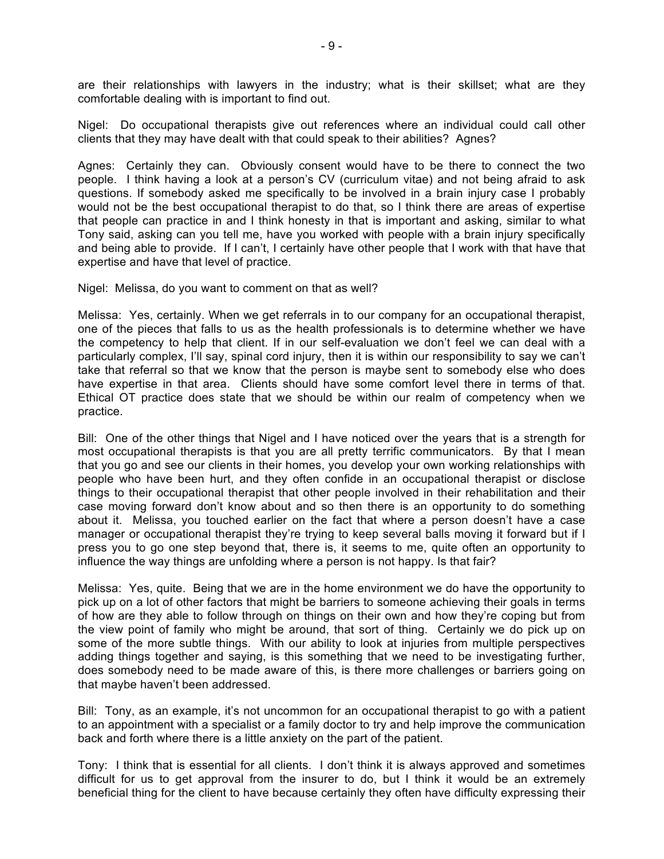are their relationships with lawyers in the industry; what is their skillset; what are they comfortable dealing with is important to find out.

Nigel: Do occupational therapists give out references where an individual could call other clients that they may have dealt with that could speak to their abilities? Agnes?

Agnes: Certainly they can. Obviously consent would have to be there to connect the two people. I think having a look at a person's CV (curriculum vitae) and not being afraid to ask questions. If somebody asked me specifically to be involved in a brain injury case I probably would not be the best occupational therapist to do that, so I think there are areas of expertise that people can practice in and I think honesty in that is important and asking, similar to what Tony said, asking can you tell me, have you worked with people with a brain injury specifically and being able to provide. If I can't, I certainly have other people that I work with that have that expertise and have that level of practice.

Nigel: Melissa, do you want to comment on that as well?

Melissa: Yes, certainly. When we get referrals in to our company for an occupational therapist, one of the pieces that falls to us as the health professionals is to determine whether we have the competency to help that client. If in our self-evaluation we don't feel we can deal with a particularly complex, I'll say, spinal cord injury, then it is within our responsibility to say we can't take that referral so that we know that the person is maybe sent to somebody else who does have expertise in that area. Clients should have some comfort level there in terms of that. Ethical OT practice does state that we should be within our realm of competency when we practice.

Bill: One of the other things that Nigel and I have noticed over the years that is a strength for most occupational therapists is that you are all pretty terrific communicators. By that I mean that you go and see our clients in their homes, you develop your own working relationships with people who have been hurt, and they often confide in an occupational therapist or disclose things to their occupational therapist that other people involved in their rehabilitation and their case moving forward don't know about and so then there is an opportunity to do something about it. Melissa, you touched earlier on the fact that where a person doesn't have a case manager or occupational therapist they're trying to keep several balls moving it forward but if I press you to go one step beyond that, there is, it seems to me, quite often an opportunity to influence the way things are unfolding where a person is not happy. Is that fair?

Melissa: Yes, quite. Being that we are in the home environment we do have the opportunity to pick up on a lot of other factors that might be barriers to someone achieving their goals in terms of how are they able to follow through on things on their own and how they're coping but from the view point of family who might be around, that sort of thing. Certainly we do pick up on some of the more subtle things. With our ability to look at injuries from multiple perspectives adding things together and saying, is this something that we need to be investigating further, does somebody need to be made aware of this, is there more challenges or barriers going on that maybe haven't been addressed.

Bill: Tony, as an example, it's not uncommon for an occupational therapist to go with a patient to an appointment with a specialist or a family doctor to try and help improve the communication back and forth where there is a little anxiety on the part of the patient.

Tony: I think that is essential for all clients. I don't think it is always approved and sometimes difficult for us to get approval from the insurer to do, but I think it would be an extremely beneficial thing for the client to have because certainly they often have difficulty expressing their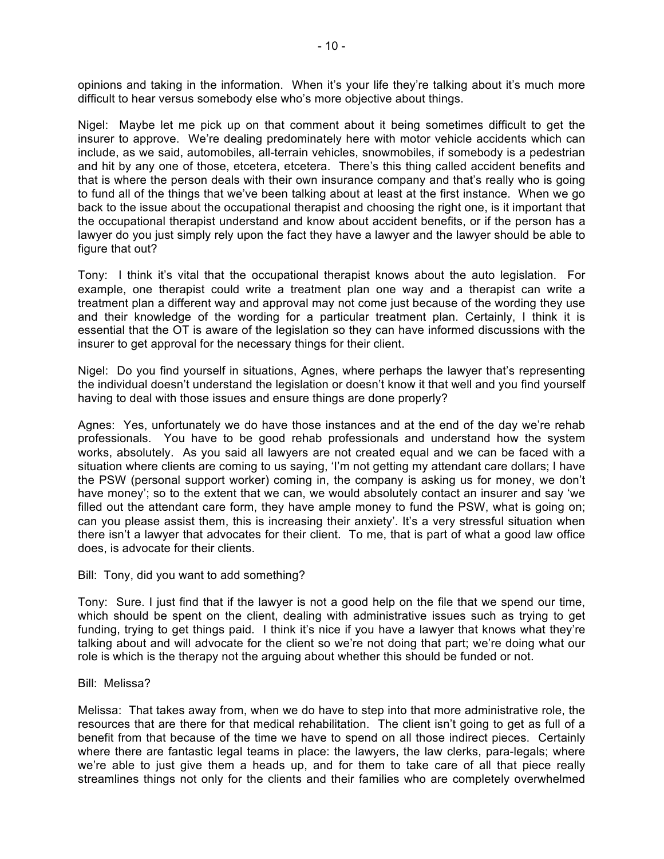opinions and taking in the information. When it's your life they're talking about it's much more difficult to hear versus somebody else who's more objective about things.

Nigel: Maybe let me pick up on that comment about it being sometimes difficult to get the insurer to approve. We're dealing predominately here with motor vehicle accidents which can include, as we said, automobiles, all-terrain vehicles, snowmobiles, if somebody is a pedestrian and hit by any one of those, etcetera, etcetera. There's this thing called accident benefits and that is where the person deals with their own insurance company and that's really who is going to fund all of the things that we've been talking about at least at the first instance. When we go back to the issue about the occupational therapist and choosing the right one, is it important that the occupational therapist understand and know about accident benefits, or if the person has a lawyer do you just simply rely upon the fact they have a lawyer and the lawyer should be able to figure that out?

Tony: I think it's vital that the occupational therapist knows about the auto legislation. For example, one therapist could write a treatment plan one way and a therapist can write a treatment plan a different way and approval may not come just because of the wording they use and their knowledge of the wording for a particular treatment plan. Certainly, I think it is essential that the OT is aware of the legislation so they can have informed discussions with the insurer to get approval for the necessary things for their client.

Nigel: Do you find yourself in situations, Agnes, where perhaps the lawyer that's representing the individual doesn't understand the legislation or doesn't know it that well and you find yourself having to deal with those issues and ensure things are done properly?

Agnes: Yes, unfortunately we do have those instances and at the end of the day we're rehab professionals. You have to be good rehab professionals and understand how the system works, absolutely. As you said all lawyers are not created equal and we can be faced with a situation where clients are coming to us saying, 'I'm not getting my attendant care dollars; I have the PSW (personal support worker) coming in, the company is asking us for money, we don't have money'; so to the extent that we can, we would absolutely contact an insurer and say 'we filled out the attendant care form, they have ample money to fund the PSW, what is going on; can you please assist them, this is increasing their anxiety'. It's a very stressful situation when there isn't a lawyer that advocates for their client. To me, that is part of what a good law office does, is advocate for their clients.

Bill: Tony, did you want to add something?

Tony: Sure. I just find that if the lawyer is not a good help on the file that we spend our time, which should be spent on the client, dealing with administrative issues such as trying to get funding, trying to get things paid. I think it's nice if you have a lawyer that knows what they're talking about and will advocate for the client so we're not doing that part; we're doing what our role is which is the therapy not the arguing about whether this should be funded or not.

Bill: Melissa?

Melissa: That takes away from, when we do have to step into that more administrative role, the resources that are there for that medical rehabilitation. The client isn't going to get as full of a benefit from that because of the time we have to spend on all those indirect pieces. Certainly where there are fantastic legal teams in place: the lawyers, the law clerks, para-legals; where we're able to just give them a heads up, and for them to take care of all that piece really streamlines things not only for the clients and their families who are completely overwhelmed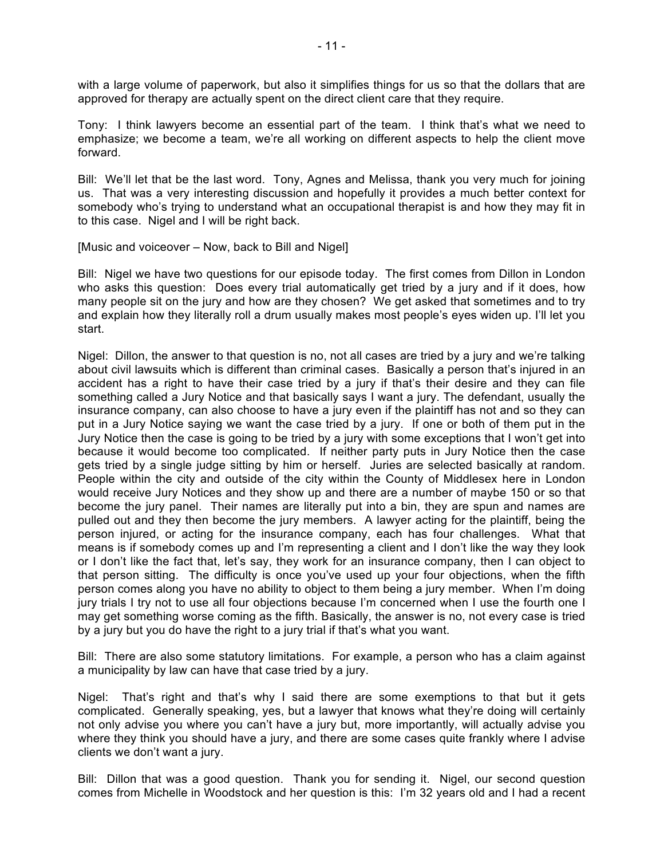with a large volume of paperwork, but also it simplifies things for us so that the dollars that are approved for therapy are actually spent on the direct client care that they require.

Tony: I think lawyers become an essential part of the team. I think that's what we need to emphasize; we become a team, we're all working on different aspects to help the client move forward.

Bill: We'll let that be the last word. Tony, Agnes and Melissa, thank you very much for joining us. That was a very interesting discussion and hopefully it provides a much better context for somebody who's trying to understand what an occupational therapist is and how they may fit in to this case. Nigel and I will be right back.

[Music and voiceover – Now, back to Bill and Nigel]

Bill: Nigel we have two questions for our episode today. The first comes from Dillon in London who asks this question: Does every trial automatically get tried by a jury and if it does, how many people sit on the jury and how are they chosen? We get asked that sometimes and to try and explain how they literally roll a drum usually makes most people's eyes widen up. I'll let you start.

Nigel: Dillon, the answer to that question is no, not all cases are tried by a jury and we're talking about civil lawsuits which is different than criminal cases. Basically a person that's injured in an accident has a right to have their case tried by a jury if that's their desire and they can file something called a Jury Notice and that basically says I want a jury. The defendant, usually the insurance company, can also choose to have a jury even if the plaintiff has not and so they can put in a Jury Notice saying we want the case tried by a jury. If one or both of them put in the Jury Notice then the case is going to be tried by a jury with some exceptions that I won't get into because it would become too complicated. If neither party puts in Jury Notice then the case gets tried by a single judge sitting by him or herself. Juries are selected basically at random. People within the city and outside of the city within the County of Middlesex here in London would receive Jury Notices and they show up and there are a number of maybe 150 or so that become the jury panel. Their names are literally put into a bin, they are spun and names are pulled out and they then become the jury members. A lawyer acting for the plaintiff, being the person injured, or acting for the insurance company, each has four challenges. What that means is if somebody comes up and I'm representing a client and I don't like the way they look or I don't like the fact that, let's say, they work for an insurance company, then I can object to that person sitting. The difficulty is once you've used up your four objections, when the fifth person comes along you have no ability to object to them being a jury member. When I'm doing jury trials I try not to use all four objections because I'm concerned when I use the fourth one I may get something worse coming as the fifth. Basically, the answer is no, not every case is tried by a jury but you do have the right to a jury trial if that's what you want.

Bill: There are also some statutory limitations. For example, a person who has a claim against a municipality by law can have that case tried by a jury.

Nigel: That's right and that's why I said there are some exemptions to that but it gets complicated. Generally speaking, yes, but a lawyer that knows what they're doing will certainly not only advise you where you can't have a jury but, more importantly, will actually advise you where they think you should have a jury, and there are some cases quite frankly where I advise clients we don't want a jury.

Bill: Dillon that was a good question. Thank you for sending it. Nigel, our second question comes from Michelle in Woodstock and her question is this: I'm 32 years old and I had a recent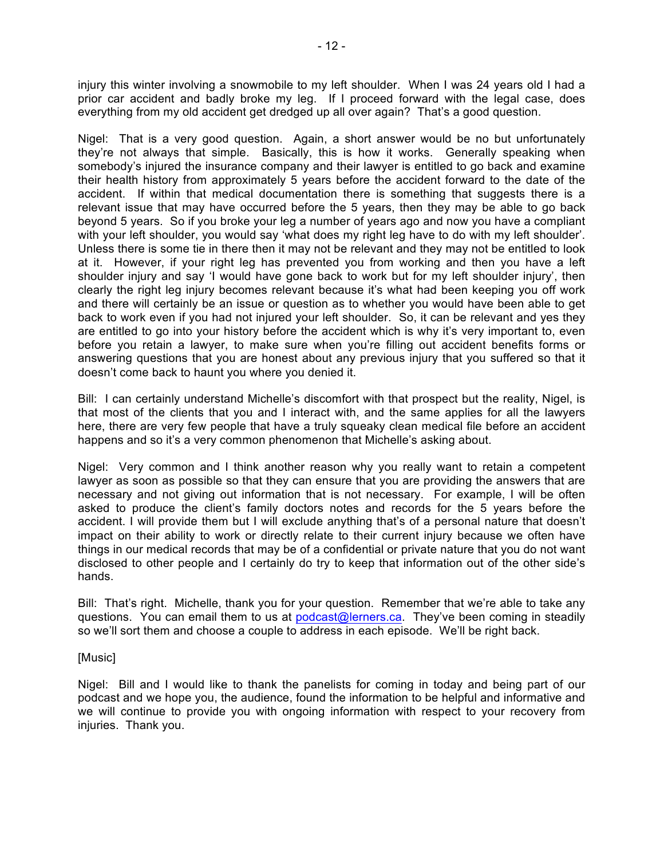injury this winter involving a snowmobile to my left shoulder. When I was 24 years old I had a prior car accident and badly broke my leg. If I proceed forward with the legal case, does everything from my old accident get dredged up all over again? That's a good question.

Nigel: That is a very good question. Again, a short answer would be no but unfortunately they're not always that simple. Basically, this is how it works. Generally speaking when somebody's injured the insurance company and their lawyer is entitled to go back and examine their health history from approximately 5 years before the accident forward to the date of the accident. If within that medical documentation there is something that suggests there is a relevant issue that may have occurred before the 5 years, then they may be able to go back beyond 5 years. So if you broke your leg a number of years ago and now you have a compliant with your left shoulder, you would say 'what does my right leg have to do with my left shoulder'. Unless there is some tie in there then it may not be relevant and they may not be entitled to look at it. However, if your right leg has prevented you from working and then you have a left shoulder injury and say 'I would have gone back to work but for my left shoulder injury', then clearly the right leg injury becomes relevant because it's what had been keeping you off work and there will certainly be an issue or question as to whether you would have been able to get back to work even if you had not injured your left shoulder. So, it can be relevant and yes they are entitled to go into your history before the accident which is why it's very important to, even before you retain a lawyer, to make sure when you're filling out accident benefits forms or answering questions that you are honest about any previous injury that you suffered so that it doesn't come back to haunt you where you denied it.

Bill: I can certainly understand Michelle's discomfort with that prospect but the reality, Nigel, is that most of the clients that you and I interact with, and the same applies for all the lawyers here, there are very few people that have a truly squeaky clean medical file before an accident happens and so it's a very common phenomenon that Michelle's asking about.

Nigel: Very common and I think another reason why you really want to retain a competent lawyer as soon as possible so that they can ensure that you are providing the answers that are necessary and not giving out information that is not necessary. For example, I will be often asked to produce the client's family doctors notes and records for the 5 years before the accident. I will provide them but I will exclude anything that's of a personal nature that doesn't impact on their ability to work or directly relate to their current injury because we often have things in our medical records that may be of a confidential or private nature that you do not want disclosed to other people and I certainly do try to keep that information out of the other side's hands.

Bill: That's right. Michelle, thank you for your question. Remember that we're able to take any questions. You can email them to us at podcast@lerners.ca. They've been coming in steadily so we'll sort them and choose a couple to address in each episode. We'll be right back.

## [Music]

Nigel: Bill and I would like to thank the panelists for coming in today and being part of our podcast and we hope you, the audience, found the information to be helpful and informative and we will continue to provide you with ongoing information with respect to your recovery from injuries. Thank you.